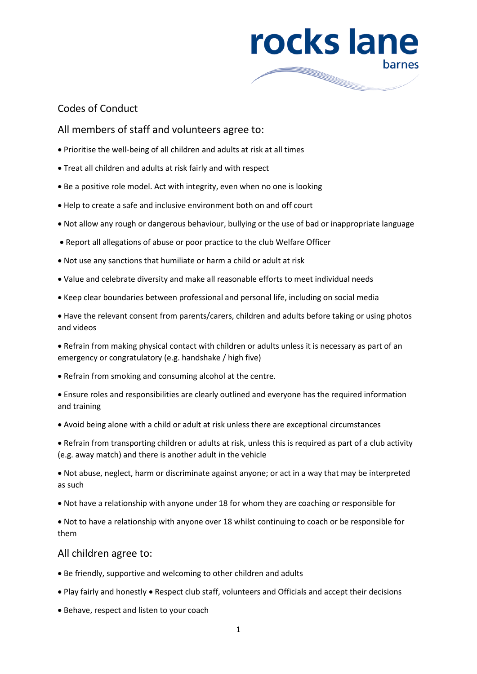

## Codes of Conduct

## All members of staff and volunteers agree to:

- Prioritise the well-being of all children and adults at risk at all times
- Treat all children and adults at risk fairly and with respect
- Be a positive role model. Act with integrity, even when no one is looking
- Help to create a safe and inclusive environment both on and off court
- Not allow any rough or dangerous behaviour, bullying or the use of bad or inappropriate language
- Report all allegations of abuse or poor practice to the club Welfare Officer
- Not use any sanctions that humiliate or harm a child or adult at risk
- Value and celebrate diversity and make all reasonable efforts to meet individual needs
- Keep clear boundaries between professional and personal life, including on social media

 Have the relevant consent from parents/carers, children and adults before taking or using photos and videos

 Refrain from making physical contact with children or adults unless it is necessary as part of an emergency or congratulatory (e.g. handshake / high five)

- Refrain from smoking and consuming alcohol at the centre.
- Ensure roles and responsibilities are clearly outlined and everyone has the required information and training
- Avoid being alone with a child or adult at risk unless there are exceptional circumstances

 Refrain from transporting children or adults at risk, unless this is required as part of a club activity (e.g. away match) and there is another adult in the vehicle

 Not abuse, neglect, harm or discriminate against anyone; or act in a way that may be interpreted as such

Not have a relationship with anyone under 18 for whom they are coaching or responsible for

 Not to have a relationship with anyone over 18 whilst continuing to coach or be responsible for them

## All children agree to:

- Be friendly, supportive and welcoming to other children and adults
- Play fairly and honestly Respect club staff, volunteers and Officials and accept their decisions
- Behave, respect and listen to your coach